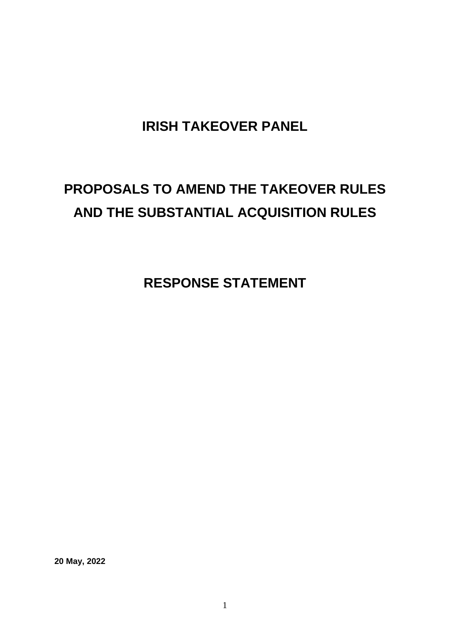### **IRISH TAKEOVER PANEL**

## **PROPOSALS TO AMEND THE TAKEOVER RULES AND THE SUBSTANTIAL ACQUISITION RULES**

**RESPONSE STATEMENT**

**20 May, 2022**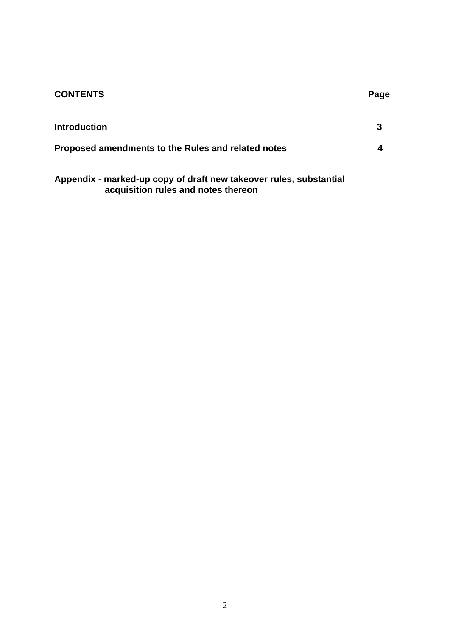# **CONTENTS** Page **Introduction 3 Proposed amendments to the Rules and related notes 4**

**Appendix - marked-up copy of draft new takeover rules, substantial acquisition rules and notes thereon**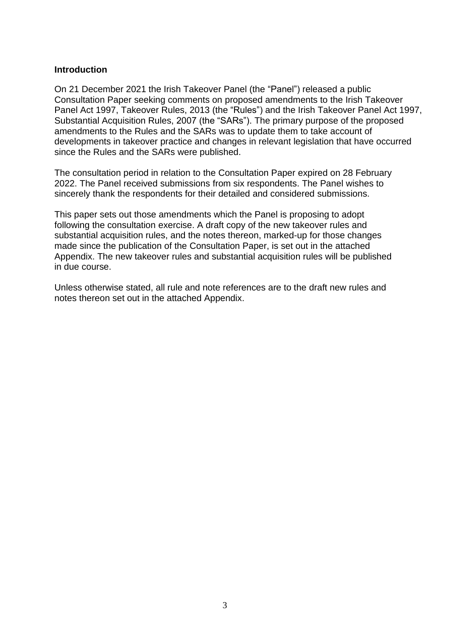#### **Introduction**

On 21 December 2021 the Irish Takeover Panel (the "Panel") released a public Consultation Paper seeking comments on proposed amendments to the Irish Takeover Panel Act 1997, Takeover Rules, 2013 (the "Rules") and the Irish Takeover Panel Act 1997, Substantial Acquisition Rules, 2007 (the "SARs"). The primary purpose of the proposed amendments to the Rules and the SARs was to update them to take account of developments in takeover practice and changes in relevant legislation that have occurred since the Rules and the SARs were published.

The consultation period in relation to the Consultation Paper expired on 28 February 2022. The Panel received submissions from six respondents. The Panel wishes to sincerely thank the respondents for their detailed and considered submissions.

This paper sets out those amendments which the Panel is proposing to adopt following the consultation exercise. A draft copy of the new takeover rules and substantial acquisition rules, and the notes thereon, marked-up for those changes made since the publication of the Consultation Paper, is set out in the attached Appendix. The new takeover rules and substantial acquisition rules will be published in due course.

Unless otherwise stated, all rule and note references are to the draft new rules and notes thereon set out in the attached Appendix.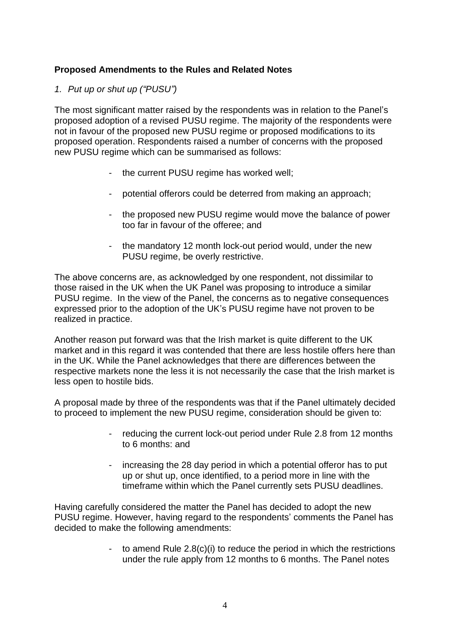#### **Proposed Amendments to the Rules and Related Notes**

#### *1. Put up or shut up ("PUSU")*

The most significant matter raised by the respondents was in relation to the Panel's proposed adoption of a revised PUSU regime. The majority of the respondents were not in favour of the proposed new PUSU regime or proposed modifications to its proposed operation. Respondents raised a number of concerns with the proposed new PUSU regime which can be summarised as follows:

- the current PUSU regime has worked well;
- potential offerors could be deterred from making an approach;
- the proposed new PUSU regime would move the balance of power too far in favour of the offeree; and
- the mandatory 12 month lock-out period would, under the new PUSU regime, be overly restrictive.

The above concerns are, as acknowledged by one respondent, not dissimilar to those raised in the UK when the UK Panel was proposing to introduce a similar PUSU regime. In the view of the Panel, the concerns as to negative consequences expressed prior to the adoption of the UK's PUSU regime have not proven to be realized in practice.

Another reason put forward was that the Irish market is quite different to the UK market and in this regard it was contended that there are less hostile offers here than in the UK. While the Panel acknowledges that there are differences between the respective markets none the less it is not necessarily the case that the Irish market is less open to hostile bids.

A proposal made by three of the respondents was that if the Panel ultimately decided to proceed to implement the new PUSU regime, consideration should be given to:

- reducing the current lock-out period under Rule 2.8 from 12 months to 6 months: and
- increasing the 28 day period in which a potential offeror has to put up or shut up, once identified, to a period more in line with the timeframe within which the Panel currently sets PUSU deadlines.

Having carefully considered the matter the Panel has decided to adopt the new PUSU regime. However, having regard to the respondents' comments the Panel has decided to make the following amendments:

> - to amend Rule 2.8(c)(i) to reduce the period in which the restrictions under the rule apply from 12 months to 6 months. The Panel notes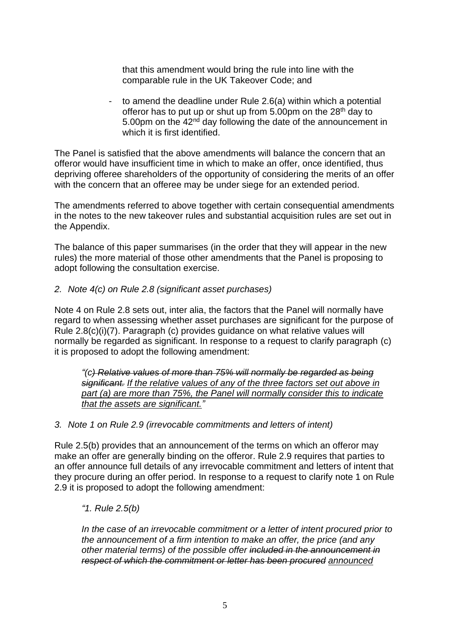that this amendment would bring the rule into line with the comparable rule in the UK Takeover Code; and

to amend the deadline under Rule 2.6(a) within which a potential offeror has to put up or shut up from  $5.00 \text{pm}$  on the  $28^{\text{th}}$  day to 5.00pm on the 42<sup>nd</sup> day following the date of the announcement in which it is first identified.

The Panel is satisfied that the above amendments will balance the concern that an offeror would have insufficient time in which to make an offer, once identified, thus depriving offeree shareholders of the opportunity of considering the merits of an offer with the concern that an offeree may be under siege for an extended period.

The amendments referred to above together with certain consequential amendments in the notes to the new takeover rules and substantial acquisition rules are set out in the Appendix.

The balance of this paper summarises (in the order that they will appear in the new rules) the more material of those other amendments that the Panel is proposing to adopt following the consultation exercise.

#### *2. Note 4(c) on Rule 2.8 (significant asset purchases)*

Note 4 on Rule 2.8 sets out, inter alia, the factors that the Panel will normally have regard to when assessing whether asset purchases are significant for the purpose of Rule 2.8(c)(i)(7). Paragraph (c) provides guidance on what relative values will normally be regarded as significant. In response to a request to clarify paragraph (c) it is proposed to adopt the following amendment:

*"(c) Relative values of more than 75% will normally be regarded as being significant. If the relative values of any of the three factors set out above in part (a) are more than 75%, the Panel will normally consider this to indicate that the assets are significant."*

#### *3. Note 1 on Rule 2.9 (irrevocable commitments and letters of intent)*

Rule 2.5(b) provides that an announcement of the terms on which an offeror may make an offer are generally binding on the offeror. Rule 2.9 requires that parties to an offer announce full details of any irrevocable commitment and letters of intent that they procure during an offer period. In response to a request to clarify note 1 on Rule 2.9 it is proposed to adopt the following amendment:

#### *"1. Rule 2.5(b)*

*In the case of an irrevocable commitment or a letter of intent procured prior to the announcement of a firm intention to make an offer, the price (and any other material terms) of the possible offer included in the announcement in respect of which the commitment or letter has been procured announced*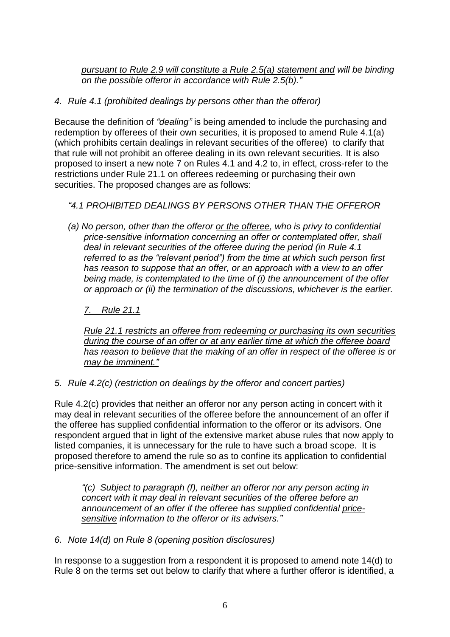*pursuant to Rule 2.9 will constitute a Rule 2.5(a) statement and will be binding on the possible offeror in accordance with Rule 2.5(b)."*

*4. Rule 4.1 (prohibited dealings by persons other than the offeror)*

Because the definition of *"dealing"* is being amended to include the purchasing and redemption by offerees of their own securities, it is proposed to amend Rule 4.1(a) (which prohibits certain dealings in relevant securities of the offeree) to clarify that that rule will not prohibit an offeree dealing in its own relevant securities. It is also proposed to insert a new note 7 on Rules 4.1 and 4.2 to, in effect, cross-refer to the restrictions under Rule 21.1 on offerees redeeming or purchasing their own securities. The proposed changes are as follows:

#### *"4.1 PROHIBITED DEALINGS BY PERSONS OTHER THAN THE OFFEROR*

*(a) No person, other than the offeror or the offeree, who is privy to confidential price-sensitive information concerning an offer or contemplated offer, shall deal in relevant securities of the offeree during the period (in Rule 4.1 referred to as the "relevant period") from the time at which such person first has reason to suppose that an offer, or an approach with a view to an offer being made, is contemplated to the time of (i) the announcement of the offer or approach or (ii) the termination of the discussions, whichever is the earlier.* 

#### *7. Rule 21.1*

*Rule 21.1 restricts an offeree from redeeming or purchasing its own securities during the course of an offer or at any earlier time at which the offeree board has reason to believe that the making of an offer in respect of the offeree is or may be imminent."*

#### *5. Rule 4.2(c) (restriction on dealings by the offeror and concert parties)*

Rule 4.2(c) provides that neither an offeror nor any person acting in concert with it may deal in relevant securities of the offeree before the announcement of an offer if the offeree has supplied confidential information to the offeror or its advisors. One respondent argued that in light of the extensive market abuse rules that now apply to listed companies, it is unnecessary for the rule to have such a broad scope. It is proposed therefore to amend the rule so as to confine its application to confidential price-sensitive information. The amendment is set out below:

*"(c) Subject to paragraph (f), neither an offeror nor any person acting in concert with it may deal in relevant securities of the offeree before an announcement of an offer if the offeree has supplied confidential pricesensitive information to the offeror or its advisers."*

#### *6. Note 14(d) on Rule 8 (opening position disclosures)*

In response to a suggestion from a respondent it is proposed to amend note 14(d) to Rule 8 on the terms set out below to clarify that where a further offeror is identified, a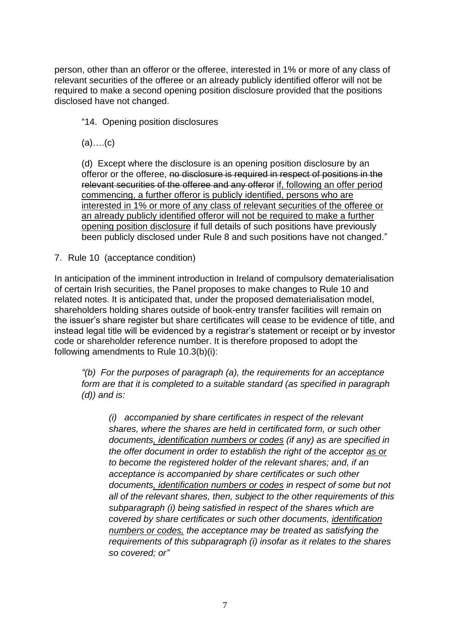person, other than an offeror or the offeree, interested in 1% or more of any class of relevant securities of the offeree or an already publicly identified offeror will not be required to make a second opening position disclosure provided that the positions disclosed have not changed.

"14. Opening position disclosures

(a)….(c)

(d) Except where the disclosure is an opening position disclosure by an offeror or the offeree, no disclosure is required in respect of positions in the relevant securities of the offeree and any offeror if, following an offer period commencing, a further offeror is publicly identified, persons who are interested in 1% or more of any class of relevant securities of the offeree or an already publicly identified offeror will not be required to make a further opening position disclosure if full details of such positions have previously been publicly disclosed under Rule 8 and such positions have not changed."

7. Rule 10 (acceptance condition)

In anticipation of the imminent introduction in Ireland of compulsory dematerialisation of certain Irish securities, the Panel proposes to make changes to Rule 10 and related notes. It is anticipated that, under the proposed dematerialisation model, shareholders holding shares outside of book-entry transfer facilities will remain on the issuer's share register but share certificates will cease to be evidence of title, and instead legal title will be evidenced by a registrar's statement or receipt or by investor code or shareholder reference number. It is therefore proposed to adopt the following amendments to Rule 10.3(b)(i):

*"(b) For the purposes of paragraph (a), the requirements for an acceptance form are that it is completed to a suitable standard (as specified in paragraph (d)) and is:* 

*(i) accompanied by share certificates in respect of the relevant shares, where the shares are held in certificated form, or such other documents, identification numbers or codes (if any) as are specified in the offer document in order to establish the right of the acceptor as or to become the registered holder of the relevant shares; and, if an acceptance is accompanied by share certificates or such other documents, identification numbers or codes in respect of some but not all of the relevant shares, then, subject to the other requirements of this subparagraph (i) being satisfied in respect of the shares which are covered by share certificates or such other documents, identification numbers or codes, the acceptance may be treated as satisfying the requirements of this subparagraph (i) insofar as it relates to the shares so covered; or"*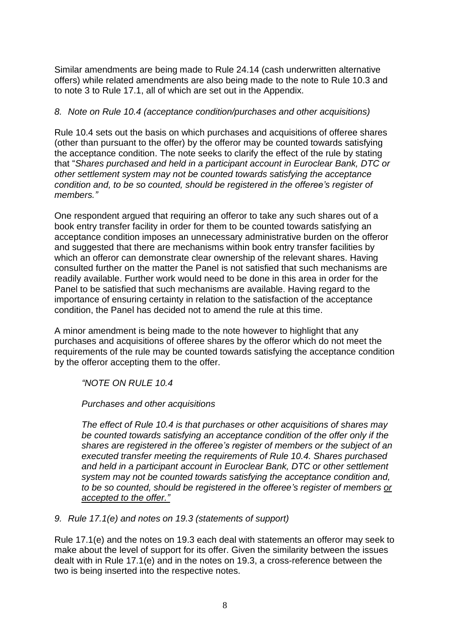Similar amendments are being made to Rule 24.14 (cash underwritten alternative offers) while related amendments are also being made to the note to Rule 10.3 and to note 3 to Rule 17.1, all of which are set out in the Appendix.

#### *8. Note on Rule 10.4 (acceptance condition/purchases and other acquisitions)*

Rule 10.4 sets out the basis on which purchases and acquisitions of offeree shares (other than pursuant to the offer) by the offeror may be counted towards satisfying the acceptance condition. The note seeks to clarify the effect of the rule by stating that "*Shares purchased and held in a participant account in Euroclear Bank, DTC or other settlement system may not be counted towards satisfying the acceptance condition and, to be so counted, should be registered in the offeree's register of members."*

One respondent argued that requiring an offeror to take any such shares out of a book entry transfer facility in order for them to be counted towards satisfying an acceptance condition imposes an unnecessary administrative burden on the offeror and suggested that there are mechanisms within book entry transfer facilities by which an offeror can demonstrate clear ownership of the relevant shares. Having consulted further on the matter the Panel is not satisfied that such mechanisms are readily available. Further work would need to be done in this area in order for the Panel to be satisfied that such mechanisms are available. Having regard to the importance of ensuring certainty in relation to the satisfaction of the acceptance condition, the Panel has decided not to amend the rule at this time.

A minor amendment is being made to the note however to highlight that any purchases and acquisitions of offeree shares by the offeror which do not meet the requirements of the rule may be counted towards satisfying the acceptance condition by the offeror accepting them to the offer.

*"NOTE ON RULE 10.4* 

#### *Purchases and other acquisitions*

*The effect of Rule 10.4 is that purchases or other acquisitions of shares may be counted towards satisfying an acceptance condition of the offer only if the shares are registered in the offeree's register of members or the subject of an executed transfer meeting the requirements of Rule 10.4. Shares purchased and held in a participant account in Euroclear Bank, DTC or other settlement system may not be counted towards satisfying the acceptance condition and, to be so counted, should be registered in the offeree's register of members or accepted to the offer."*

*9. Rule 17.1(e) and notes on 19.3 (statements of support)*

Rule 17.1(e) and the notes on 19.3 each deal with statements an offeror may seek to make about the level of support for its offer. Given the similarity between the issues dealt with in Rule 17.1(e) and in the notes on 19.3, a cross-reference between the two is being inserted into the respective notes.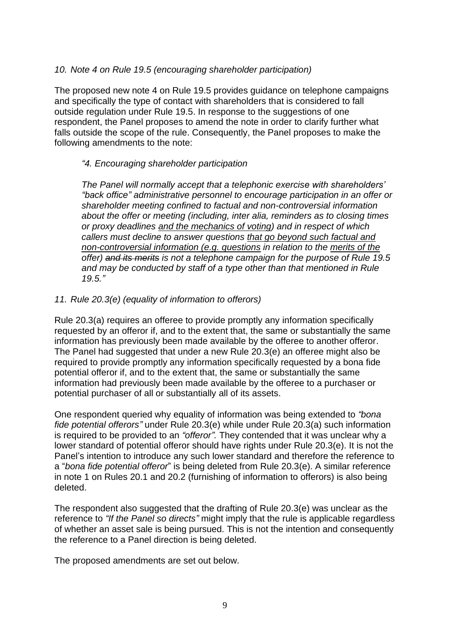#### *10. Note 4 on Rule 19.5 (encouraging shareholder participation)*

The proposed new note 4 on Rule 19.5 provides guidance on telephone campaigns and specifically the type of contact with shareholders that is considered to fall outside regulation under Rule 19.5. In response to the suggestions of one respondent, the Panel proposes to amend the note in order to clarify further what falls outside the scope of the rule. Consequently, the Panel proposes to make the following amendments to the note:

#### *"4. Encouraging shareholder participation*

*The Panel will normally accept that a telephonic exercise with shareholders' "back office" administrative personnel to encourage participation in an offer or shareholder meeting confined to factual and non-controversial information about the offer or meeting (including, inter alia, reminders as to closing times or proxy deadlines and the mechanics of voting) and in respect of which callers must decline to answer questions that go beyond such factual and non-controversial information (e.g. questions in relation to the merits of the offer) and its merits is not a telephone campaign for the purpose of Rule 19.5 and may be conducted by staff of a type other than that mentioned in Rule 19.5."*

#### *11. Rule 20.3(e) (equality of information to offerors)*

Rule 20.3(a) requires an offeree to provide promptly any information specifically requested by an offeror if, and to the extent that, the same or substantially the same information has previously been made available by the offeree to another offeror. The Panel had suggested that under a new Rule 20.3(e) an offeree might also be required to provide promptly any information specifically requested by a bona fide potential offeror if, and to the extent that, the same or substantially the same information had previously been made available by the offeree to a purchaser or potential purchaser of all or substantially all of its assets.

One respondent queried why equality of information was being extended to *"bona fide potential offerors"* under Rule 20.3(e) while under Rule 20.3(a) such information is required to be provided to an *"offeror".* They contended that it was unclear why a lower standard of potential offeror should have rights under Rule 20.3(e). It is not the Panel's intention to introduce any such lower standard and therefore the reference to a "*bona fide potential offeror*" is being deleted from Rule 20.3(e). A similar reference in note 1 on Rules 20.1 and 20.2 (furnishing of information to offerors) is also being deleted.

The respondent also suggested that the drafting of Rule 20.3(e) was unclear as the reference to *"If the Panel so directs"* might imply that the rule is applicable regardless of whether an asset sale is being pursued. This is not the intention and consequently the reference to a Panel direction is being deleted.

The proposed amendments are set out below.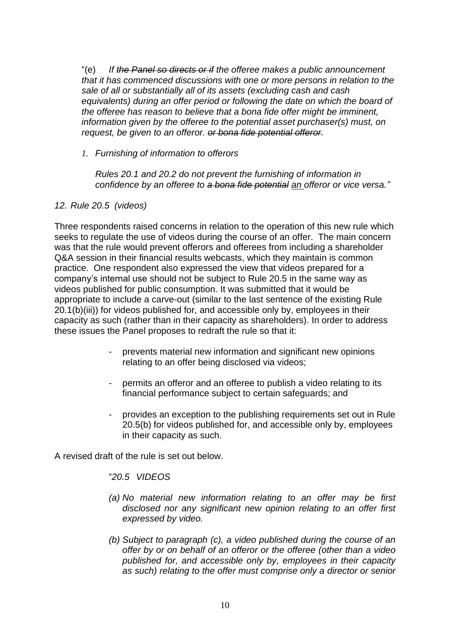"(e) *If the Panel so directs or if the offeree makes a public announcement that it has commenced discussions with one or more persons in relation to the sale of all or substantially all of its assets (excluding cash and cash equivalents) during an offer period or following the date on which the board of the offeree has reason to believe that a bona fide offer might be imminent, information given by the offeree to the potential asset purchaser(s) must, on request, be given to an offeror. or bona fide potential offeror.*

*1. Furnishing of information to offerors* 

*Rules 20.1 and 20.2 do not prevent the furnishing of information in confidence by an offeree to a bona fide potential an offeror or vice versa."*

*12. Rule 20.5 (videos)*

Three respondents raised concerns in relation to the operation of this new rule which seeks to regulate the use of videos during the course of an offer. The main concern was that the rule would prevent offerors and offerees from including a shareholder Q&A session in their financial results webcasts, which they maintain is common practice. One respondent also expressed the view that videos prepared for a company's internal use should not be subject to Rule 20.5 in the same way as videos published for public consumption. It was submitted that it would be appropriate to include a carve-out (similar to the last sentence of the existing Rule 20.1(b)(iii)) for videos published for, and accessible only by, employees in their capacity as such (rather than in their capacity as shareholders). In order to address these issues the Panel proposes to redraft the rule so that it:

- prevents material new information and significant new opinions relating to an offer being disclosed via videos;
- permits an offeror and an offeree to publish a video relating to its financial performance subject to certain safeguards; and
- provides an exception to the publishing requirements set out in Rule 20.5(b) for videos published for, and accessible only by, employees in their capacity as such.

A revised draft of the rule is set out below.

"*20.5 VIDEOS*

- *(a) No material new information relating to an offer may be first disclosed nor any significant new opinion relating to an offer first expressed by video.*
- *(b) Subject to paragraph (c), a video published during the course of an offer by or on behalf of an offeror or the offeree (other than a video published for, and accessible only by, employees in their capacity as such) relating to the offer must comprise only a director or senior*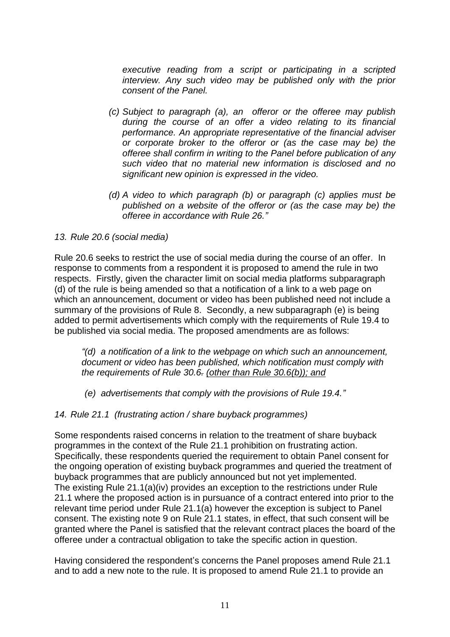*executive reading from a script or participating in a scripted interview. Any such video may be published only with the prior consent of the Panel.*

- *(c) Subject to paragraph (a), an offeror or the offeree may publish during the course of an offer a video relating to its financial performance. An appropriate representative of the financial adviser or corporate broker to the offeror or (as the case may be) the offeree shall confirm in writing to the Panel before publication of any such video that no material new information is disclosed and no significant new opinion is expressed in the video.*
- *(d) A video to which paragraph (b) or paragraph (c) applies must be published on a website of the offeror or (as the case may be) the offeree in accordance with Rule 26."*

#### *13. Rule 20.6 (social media)*

Rule 20.6 seeks to restrict the use of social media during the course of an offer. In response to comments from a respondent it is proposed to amend the rule in two respects. Firstly, given the character limit on social media platforms subparagraph (d) of the rule is being amended so that a notification of a link to a web page on which an announcement, document or video has been published need not include a summary of the provisions of Rule 8. Secondly, a new subparagraph (e) is being added to permit advertisements which comply with the requirements of Rule 19.4 to be published via social media. The proposed amendments are as follows:

*"(d) a notification of a link to the webpage on which such an announcement, document or video has been published, which notification must comply with the requirements of Rule 30.6. (other than Rule 30.6(b)); and*

- *(e) advertisements that comply with the provisions of Rule 19.4."*
- *14. Rule 21.1 (frustrating action / share buyback programmes)*

Some respondents raised concerns in relation to the treatment of share buyback programmes in the context of the Rule 21.1 prohibition on frustrating action. Specifically, these respondents queried the requirement to obtain Panel consent for the ongoing operation of existing buyback programmes and queried the treatment of buyback programmes that are publicly announced but not yet implemented. The existing Rule 21.1(a)(iv) provides an exception to the restrictions under Rule 21.1 where the proposed action is in pursuance of a contract entered into prior to the relevant time period under Rule 21.1(a) however the exception is subject to Panel consent. The existing note 9 on Rule 21.1 states, in effect, that such consent will be granted where the Panel is satisfied that the relevant contract places the board of the offeree under a contractual obligation to take the specific action in question.

Having considered the respondent's concerns the Panel proposes amend Rule 21.1 and to add a new note to the rule. It is proposed to amend Rule 21.1 to provide an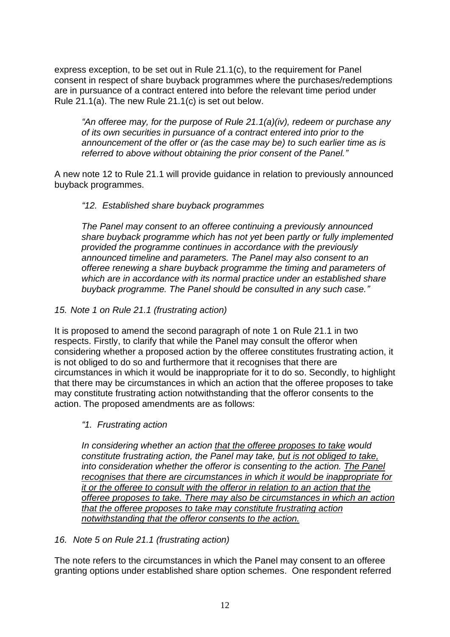express exception, to be set out in Rule 21.1(c), to the requirement for Panel consent in respect of share buyback programmes where the purchases/redemptions are in pursuance of a contract entered into before the relevant time period under Rule 21.1(a). The new Rule 21.1(c) is set out below.

*"An offeree may, for the purpose of Rule 21.1(a)(iv), redeem or purchase any of its own securities in pursuance of a contract entered into prior to the announcement of the offer or (as the case may be) to such earlier time as is referred to above without obtaining the prior consent of the Panel."*

A new note 12 to Rule 21.1 will provide guidance in relation to previously announced buyback programmes.

#### *"12. Established share buyback programmes*

*The Panel may consent to an offeree continuing a previously announced share buyback programme which has not yet been partly or fully implemented provided the programme continues in accordance with the previously announced timeline and parameters. The Panel may also consent to an offeree renewing a share buyback programme the timing and parameters of which are in accordance with its normal practice under an established share buyback programme. The Panel should be consulted in any such case."*

#### *15. Note 1 on Rule 21.1 (frustrating action)*

It is proposed to amend the second paragraph of note 1 on Rule 21.1 in two respects. Firstly, to clarify that while the Panel may consult the offeror when considering whether a proposed action by the offeree constitutes frustrating action, it is not obliged to do so and furthermore that it recognises that there are circumstances in which it would be inappropriate for it to do so. Secondly, to highlight that there may be circumstances in which an action that the offeree proposes to take may constitute frustrating action notwithstanding that the offeror consents to the action. The proposed amendments are as follows:

#### *"1. Frustrating action*

*In considering whether an action that the offeree proposes to take would constitute frustrating action, the Panel may take, but is not obliged to take, into consideration whether the offeror is consenting to the action. The Panel recognises that there are circumstances in which it would be inappropriate for it or the offeree to consult with the offeror in relation to an action that the offeree proposes to take. There may also be circumstances in which an action that the offeree proposes to take may constitute frustrating action notwithstanding that the offeror consents to the action.*

#### *16. Note 5 on Rule 21.1 (frustrating action)*

The note refers to the circumstances in which the Panel may consent to an offeree granting options under established share option schemes. One respondent referred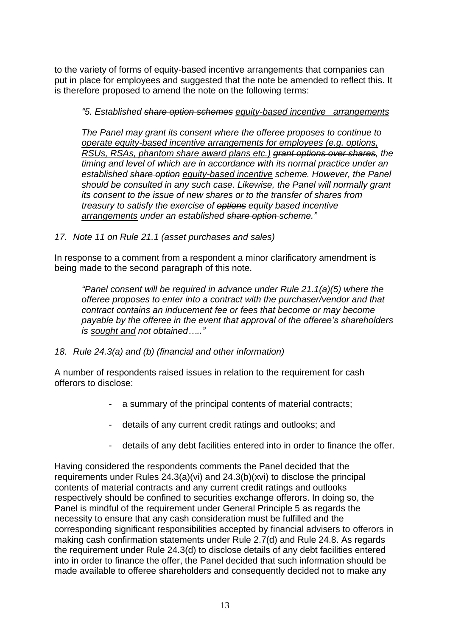to the variety of forms of equity-based incentive arrangements that companies can put in place for employees and suggested that the note be amended to reflect this. It is therefore proposed to amend the note on the following terms:

*"5. Established share option schemes equity-based incentive arrangements* 

*The Panel may grant its consent where the offeree proposes to continue to operate equity-based incentive arrangements for employees (e.g. options, RSUs, RSAs, phantom share award plans etc.) grant options over shares, the timing and level of which are in accordance with its normal practice under an established share option equity-based incentive scheme. However, the Panel should be consulted in any such case. Likewise, the Panel will normally grant its consent to the issue of new shares or to the transfer of shares from treasury to satisfy the exercise of options equity based incentive arrangements under an established share option scheme."*

*17. Note 11 on Rule 21.1 (asset purchases and sales)*

In response to a comment from a respondent a minor clarificatory amendment is being made to the second paragraph of this note.

*"Panel consent will be required in advance under Rule 21.1(a)(5) where the offeree proposes to enter into a contract with the purchaser/vendor and that contract contains an inducement fee or fees that become or may become payable by the offeree in the event that approval of the offeree's shareholders is sought and not obtained….."*

*18. Rule 24.3(a) and (b) (financial and other information)*

A number of respondents raised issues in relation to the requirement for cash offerors to disclose:

- a summary of the principal contents of material contracts;
- details of any current credit ratings and outlooks; and
- details of any debt facilities entered into in order to finance the offer.

Having considered the respondents comments the Panel decided that the requirements under Rules 24.3(a)(vi) and 24.3(b)(xvi) to disclose the principal contents of material contracts and any current credit ratings and outlooks respectively should be confined to securities exchange offerors. In doing so, the Panel is mindful of the requirement under General Principle 5 as regards the necessity to ensure that any cash consideration must be fulfilled and the corresponding significant responsibilities accepted by financial advisers to offerors in making cash confirmation statements under Rule 2.7(d) and Rule 24.8. As regards the requirement under Rule 24.3(d) to disclose details of any debt facilities entered into in order to finance the offer, the Panel decided that such information should be made available to offeree shareholders and consequently decided not to make any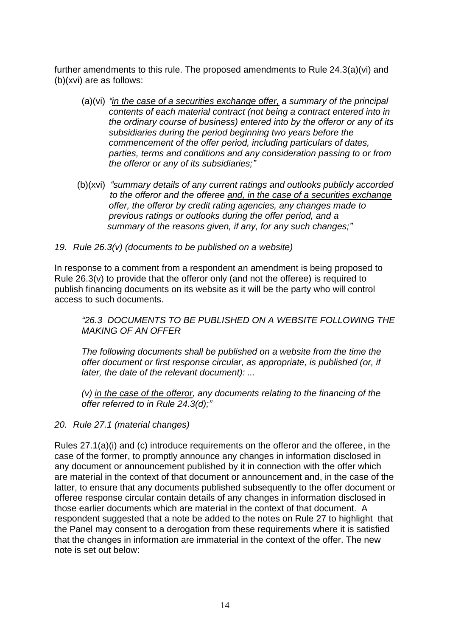further amendments to this rule. The proposed amendments to Rule 24.3(a)(vi) and (b)(xvi) are as follows:

- (a)(vi) *"in the case of a securities exchange offer, a summary of the principal contents of each material contract (not being a contract entered into in the ordinary course of business) entered into by the offeror or any of its subsidiaries during the period beginning two years before the commencement of the offer period, including particulars of dates, parties, terms and conditions and any consideration passing to or from the offeror or any of its subsidiaries;"*
- (b)(xvi) *"summary details of any current ratings and outlooks publicly accorded to the offeror and the offeree and, in the case of a securities exchange offer, the offeror by credit rating agencies, any changes made to previous ratings or outlooks during the offer period, and a summary of the reasons given, if any, for any such changes;"*
- *19. Rule 26.3(v) (documents to be published on a website)*

In response to a comment from a respondent an amendment is being proposed to Rule 26.3(v) to provide that the offeror only (and not the offeree) is required to publish financing documents on its website as it will be the party who will control access to such documents.

*"26.3 DOCUMENTS TO BE PUBLISHED ON A WEBSITE FOLLOWING THE MAKING OF AN OFFER* 

*The following documents shall be published on a website from the time the offer document or first response circular, as appropriate, is published (or, if later, the date of the relevant document): ...* 

*(v) in the case of the offeror, any documents relating to the financing of the offer referred to in Rule 24.3(d);"*

*20. Rule 27.1 (material changes)*

Rules 27.1(a)(i) and (c) introduce requirements on the offeror and the offeree, in the case of the former, to promptly announce any changes in information disclosed in any document or announcement published by it in connection with the offer which are material in the context of that document or announcement and, in the case of the latter, to ensure that any documents published subsequently to the offer document or offeree response circular contain details of any changes in information disclosed in those earlier documents which are material in the context of that document. A respondent suggested that a note be added to the notes on Rule 27 to highlight that the Panel may consent to a derogation from these requirements where it is satisfied that the changes in information are immaterial in the context of the offer. The new note is set out below: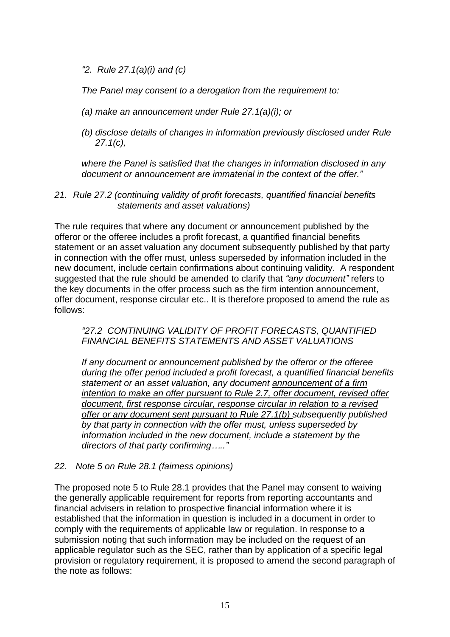*"2. Rule 27.1(a)(i) and (c)* 

*The Panel may consent to a derogation from the requirement to:* 

- *(a) make an announcement under Rule 27.1(a)(i); or*
- *(b) disclose details of changes in information previously disclosed under Rule 27.1(c),*

*where the Panel is satisfied that the changes in information disclosed in any document or announcement are immaterial in the context of the offer."*

*21. Rule 27.2 (continuing validity of profit forecasts, quantified financial benefits statements and asset valuations)* 

The rule requires that where any document or announcement published by the offeror or the offeree includes a profit forecast, a quantified financial benefits statement or an asset valuation any document subsequently published by that party in connection with the offer must, unless superseded by information included in the new document, include certain confirmations about continuing validity. A respondent suggested that the rule should be amended to clarify that *"any document"* refers to the key documents in the offer process such as the firm intention announcement, offer document, response circular etc.. It is therefore proposed to amend the rule as follows:

#### *"27.2 CONTINUING VALIDITY OF PROFIT FORECASTS, QUANTIFIED FINANCIAL BENEFITS STATEMENTS AND ASSET VALUATIONS*

*If any document or announcement published by the offeror or the offeree during the offer period included a profit forecast, a quantified financial benefits statement or an asset valuation, any document announcement of a firm intention to make an offer pursuant to Rule 2.7, offer document, revised offer document, first response circular, response circular in relation to a revised offer or any document sent pursuant to Rule 27.1(b) subsequently published by that party in connection with the offer must, unless superseded by information included in the new document, include a statement by the directors of that party confirming….."*

#### *22. Note 5 on Rule 28.1 (fairness opinions)*

The proposed note 5 to Rule 28.1 provides that the Panel may consent to waiving the generally applicable requirement for reports from reporting accountants and financial advisers in relation to prospective financial information where it is established that the information in question is included in a document in order to comply with the requirements of applicable law or regulation. In response to a submission noting that such information may be included on the request of an applicable regulator such as the SEC, rather than by application of a specific legal provision or regulatory requirement, it is proposed to amend the second paragraph of the note as follows: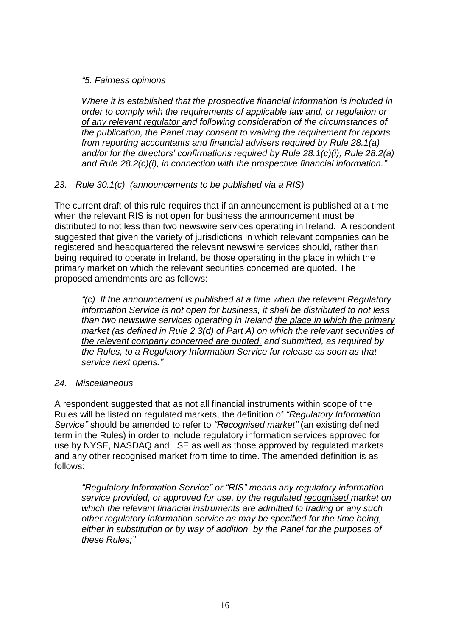#### *"5. Fairness opinions*

*Where it is established that the prospective financial information is included in order to comply with the requirements of applicable law and, or regulation or of any relevant regulator and following consideration of the circumstances of the publication, the Panel may consent to waiving the requirement for reports from reporting accountants and financial advisers required by Rule 28.1(a) and/or for the directors' confirmations required by Rule 28.1(c)(i), Rule 28.2(a) and Rule 28.2(c)(i), in connection with the prospective financial information."*

#### *23. Rule 30.1(c) (announcements to be published via a RIS)*

The current draft of this rule requires that if an announcement is published at a time when the relevant RIS is not open for business the announcement must be distributed to not less than two newswire services operating in Ireland. A respondent suggested that given the variety of jurisdictions in which relevant companies can be registered and headquartered the relevant newswire services should, rather than being required to operate in Ireland, be those operating in the place in which the primary market on which the relevant securities concerned are quoted. The proposed amendments are as follows:

*"(c) If the announcement is published at a time when the relevant Regulatory information Service is not open for business, it shall be distributed to not less than two newswire services operating in Ireland the place in which the primary market (as defined in Rule 2.3(d) of Part A) on which the relevant securities of the relevant company concerned are quoted, and submitted, as required by the Rules, to a Regulatory Information Service for release as soon as that service next opens."*

#### *24. Miscellaneous*

A respondent suggested that as not all financial instruments within scope of the Rules will be listed on regulated markets, the definition of *"Regulatory Information Service"* should be amended to refer to *"Recognised market"* (an existing defined term in the Rules) in order to include regulatory information services approved for use by NYSE, NASDAQ and LSE as well as those approved by regulated markets and any other recognised market from time to time. The amended definition is as follows:

*"Regulatory Information Service" or "RIS" means any regulatory information service provided, or approved for use, by the regulated recognised market on which the relevant financial instruments are admitted to trading or any such other regulatory information service as may be specified for the time being, either in substitution or by way of addition, by the Panel for the purposes of these Rules;"*